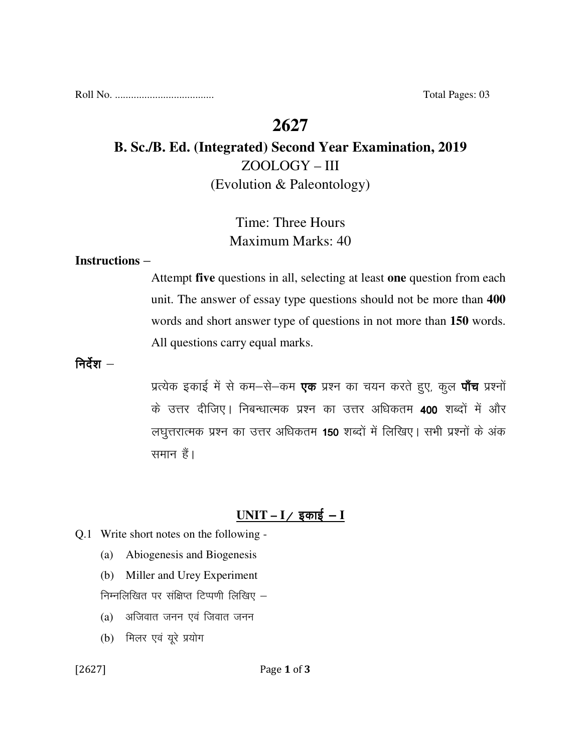Roll No. ..................................... Total Pages: 03

# **2627**

# **B. Sc./B. Ed. (Integrated) Second Year Examination, 2019**  ZOOLOGY – III (Evolution & Paleontology)

# Time: Three Hours Maximum Marks: 40

#### **Instructions** –

Attempt **five** questions in all, selecting at least **one** question from each unit. The answer of essay type questions should not be more than **400** words and short answer type of questions in not more than **150** words. All questions carry equal marks.

निर्देश $-$ 

प्रत्येक इकाई में से कम–से–कम **एक** प्रश्न का चयन करते हुए, कूल **पाँच** प्रश्नों के उत्तर दीजिए। निबन्धात्मक प्रश्न का उत्तर अधिकतम 400 शब्दों में और लघुत्तरात्मक प्रश्न का उत्तर अधिकतम 150 शब्दों में लिखिए। सभी प्रश्नों के अंक समान हैं।

### $UNIT - I /$  इकाई – **I**

- Q.1 Write short notes on the following
	- (a) Abiogenesis and Biogenesis
	- (b) Miller and Urey Experiment

निम्नलिखित पर संक्षिप्त टिप्पणी लिखिए  $-$ 

- $(a)$  अजिवात जनन एवं जिवात जनन
- $(b)$  मिलर एवं यूरे प्रयोग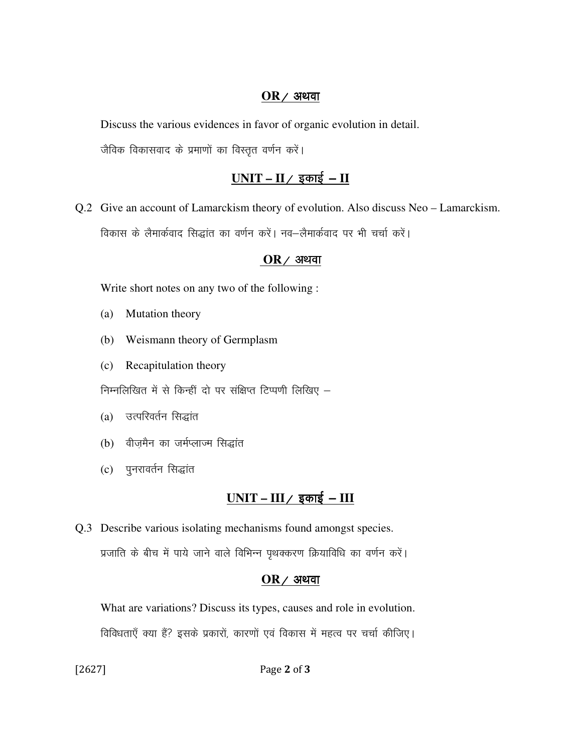#### $OR$  / अथवा

Discuss the various evidences in favor of organic evolution in detail.

जैविक विकासवाद के प्रमाणों का विस्तृत वर्णन करें।

### <u>UNIT – II / इकाई – II</u>

Q.2 Give an account of Lamarckism theory of evolution. Also discuss Neo – Lamarckism. विकास के लैमार्कवाद सिद्धांत का वर्णन करें। नव-लैमार्कवाद पर भी चर्चा करें।

#### $OR$  / अथवा

Write short notes on any two of the following :

- (a) Mutation theory
- (b) Weismann theory of Germplasm
- (c) Recapitulation theory

निम्नलिखित में से किन्हीं दो पर संक्षिप्त टिप्पणी लिखिए  $-$ 

- (a) उत्परिवर्तन सिद्धांत
- (b) वीजमैन का जर्मप्लाज्म सिद्धांत
- (c) पुनरावर्तन सिद्धांत

# <u>UNIT – III / इकाई – III</u>

Q.3 Describe various isolating mechanisms found amongst species. प्रजाति के बीच में पाये जाने वाले विभिन्न पृथक्करण क्रियाविधि का वर्णन करें।

#### $OR$  / अथवा

 What are variations? Discuss its types, causes and role in evolution. fdविधताएँ क्या हैं? इसके प्रकारों, कारणों एवं विकास में महत्व पर चर्चा कीजिए।